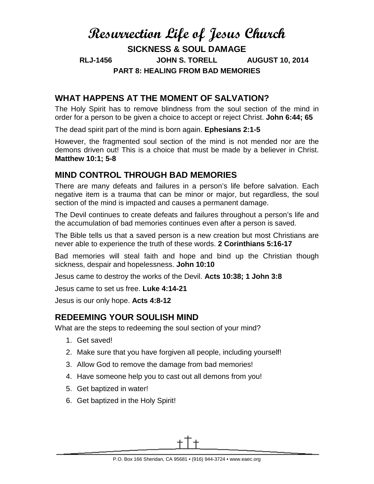# **Resurrection Life of Jesus Church SICKNESS & SOUL DAMAGE RLJ-1456 JOHN S. TORELL AUGUST 10, 2014 PART 8: HEALING FROM BAD MEMORIES**

# **WHAT HAPPENS AT THE MOMENT OF SALVATION?**

The Holy Spirit has to remove blindness from the soul section of the mind in order for a person to be given a choice to accept or reject Christ. **John 6:44; 65**

The dead spirit part of the mind is born again. **Ephesians 2:1-5**

However, the fragmented soul section of the mind is not mended nor are the demons driven out! This is a choice that must be made by a believer in Christ. **Matthew 10:1; 5-8**

## **MIND CONTROL THROUGH BAD MEMORIES**

There are many defeats and failures in a person's life before salvation. Each negative item is a trauma that can be minor or major, but regardless, the soul section of the mind is impacted and causes a permanent damage.

The Devil continues to create defeats and failures throughout a person's life and the accumulation of bad memories continues even after a person is saved.

The Bible tells us that a saved person is a new creation but most Christians are never able to experience the truth of these words. **2 Corinthians 5:16-17**

Bad memories will steal faith and hope and bind up the Christian though sickness, despair and hopelessness. **John 10:10**

Jesus came to destroy the works of the Devil. **Acts 10:38; 1 John 3:8**

Jesus came to set us free. **Luke 4:14-21**

Jesus is our only hope. **Acts 4:8-12**

### **REDEEMING YOUR SOULISH MIND**

What are the steps to redeeming the soul section of your mind?

- 1. Get saved!
- 2. Make sure that you have forgiven all people, including yourself!
- 3. Allow God to remove the damage from bad memories!
- 4. Have someone help you to cast out all demons from you!
- 5. Get baptized in water!
- 6. Get baptized in the Holy Spirit!

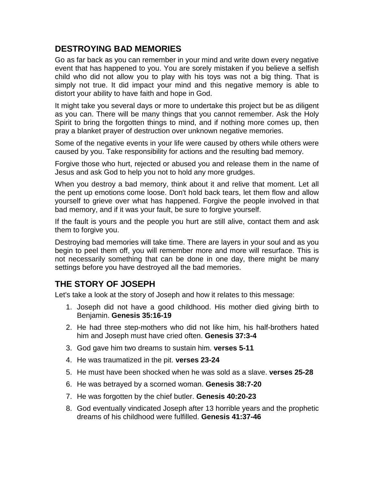# **DESTROYING BAD MEMORIES**

Go as far back as you can remember in your mind and write down every negative event that has happened to you. You are sorely mistaken if you believe a selfish child who did not allow you to play with his toys was not a big thing. That is simply not true. It did impact your mind and this negative memory is able to distort your ability to have faith and hope in God.

It might take you several days or more to undertake this project but be as diligent as you can. There will be many things that you cannot remember. Ask the Holy Spirit to bring the forgotten things to mind, and if nothing more comes up, then pray a blanket prayer of destruction over unknown negative memories.

Some of the negative events in your life were caused by others while others were caused by you. Take responsibility for actions and the resulting bad memory.

Forgive those who hurt, rejected or abused you and release them in the name of Jesus and ask God to help you not to hold any more grudges.

When you destroy a bad memory, think about it and relive that moment. Let all the pent up emotions come loose. Don't hold back tears, let them flow and allow yourself to grieve over what has happened. Forgive the people involved in that bad memory, and if it was your fault, be sure to forgive yourself.

If the fault is yours and the people you hurt are still alive, contact them and ask them to forgive you.

Destroying bad memories will take time. There are layers in your soul and as you begin to peel them off, you will remember more and more will resurface. This is not necessarily something that can be done in one day, there might be many settings before you have destroyed all the bad memories.

### **THE STORY OF JOSEPH**

Let's take a look at the story of Joseph and how it relates to this message:

- 1. Joseph did not have a good childhood. His mother died giving birth to Benjamin. **Genesis 35:16-19**
- 2. He had three step-mothers who did not like him, his half-brothers hated him and Joseph must have cried often. **Genesis 37:3-4**
- 3. God gave him two dreams to sustain him. **verses 5-11**
- 4. He was traumatized in the pit. **verses 23-24**
- 5. He must have been shocked when he was sold as a slave. **verses 25-28**
- 6. He was betrayed by a scorned woman. **Genesis 38:7-20**
- 7. He was forgotten by the chief butler. **Genesis 40:20-23**
- 8. God eventually vindicated Joseph after 13 horrible years and the prophetic dreams of his childhood were fulfilled. **Genesis 41:37-46**